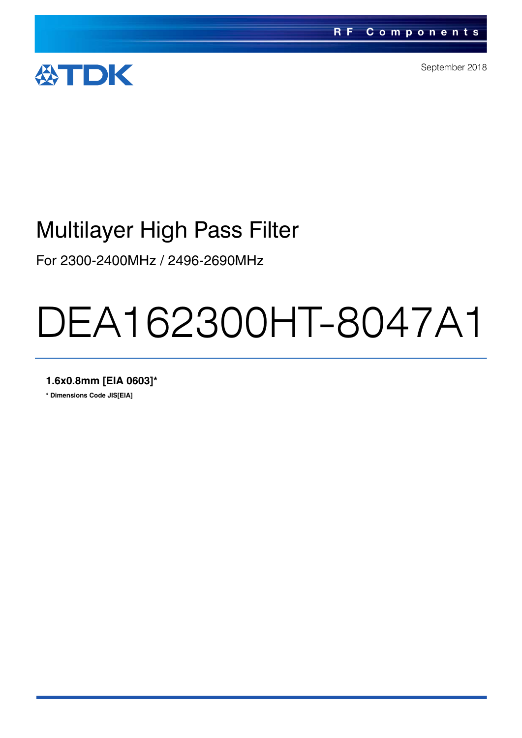

September 2018

## Multilayer High Pass Filter

For 2300-2400MHz / 2496-2690MHz

# DEA162300HT-8047A1

**1.6x0.8mm [EIA 0603]\***

**\* Dimensions Code JIS[EIA]**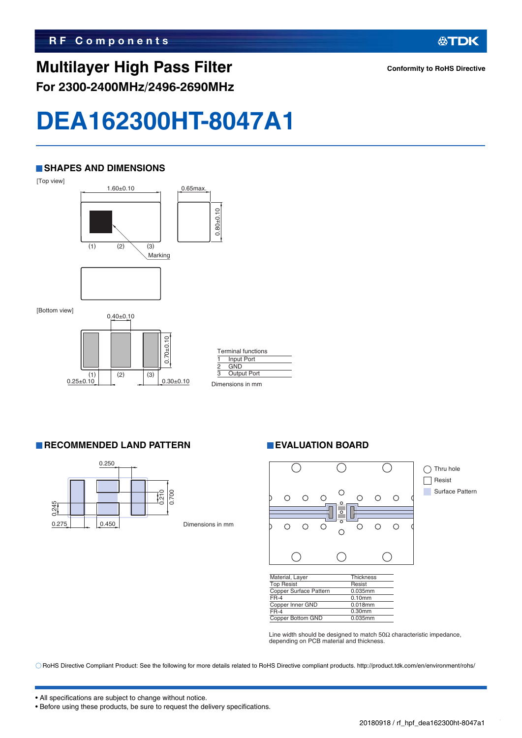#### **SHAPES AND DIMENSIONS**





|   | <b>Terminal functions</b> |  |
|---|---------------------------|--|
|   | Input Port                |  |
| 2 | <b>GND</b>                |  |
| 3 | <b>Output Port</b>        |  |
|   | Dimensions in mm          |  |

**RECOMMENDED LAND PATTERN EVALUATION BOARD** 



Dimensions in mm



| Material, Layer        | <b>Thickness</b> |
|------------------------|------------------|
| <b>Top Resist</b>      | Resist           |
| Copper Surface Pattern | 0.035mm          |
| $FR-4$                 | $0.10$ mm        |
| Copper Inner GND       | 0.018mm          |
| $FR-4$                 | $0.30$ mm        |
| Copper Bottom GND      | 0.035mm          |

Line width should be designed to match  $50\Omega$  characteristic impedance, depending on PCB material and thickness.

RoHS Directive Compliant Product: See the following for more details related to RoHS Directive compliant products. http://product.tdk.com/en/environment/rohs/

**Conformity to RoHS Directive**

**公TDK** 

• All specifications are subject to change without notice.

• Before using these products, be sure to request the delivery specifications.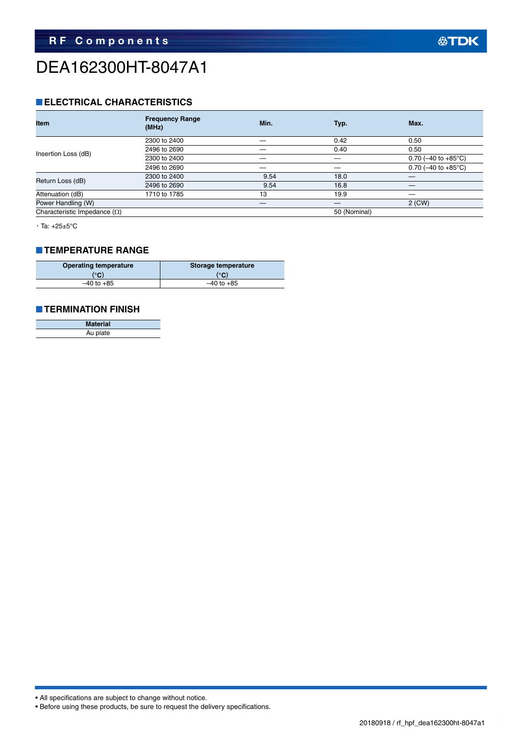## DEA162300HT-8047A1

#### **ELECTRICAL CHARACTERISTICS**

| <b>Item</b>                         | <b>Frequency Range</b><br>(MHz) | Min. | Typ.         | Max.                             |
|-------------------------------------|---------------------------------|------|--------------|----------------------------------|
|                                     | 2300 to 2400                    |      | 0.42         | 0.50                             |
|                                     | 2496 to 2690                    |      | 0.40         | 0.50                             |
| Insertion Loss (dB)                 | 2300 to 2400                    |      |              | 0.70 ( $-40$ to $+85^{\circ}$ C) |
|                                     | 2496 to 2690                    |      | –            | 0.70 ( $-40$ to $+85^{\circ}$ C) |
|                                     | 2300 to 2400                    | 9.54 | 18.0         |                                  |
| Return Loss (dB)                    | 2496 to 2690                    | 9.54 | 16.8         |                                  |
| Attenuation (dB)                    | 1710 to 1785                    | 13   | 19.9         |                                  |
| Power Handling (W)                  |                                 |      |              | 2 (CW)                           |
| Characteristic Impedance $(\Omega)$ |                                 |      | 50 (Nominal) |                                  |

・Ta: +25±5°C

#### **TEMPERATURE RANGE**

| <b>Operating temperature</b> | Storage temperature |  |
|------------------------------|---------------------|--|
| (°C)                         | (°C)                |  |
| $-40$ to $+85$               | $-40$ to $+85$      |  |

#### **TERMINATION FINISH**

| <b>Material</b> |
|-----------------|
| Au plate        |

```
• All specifications are subject to change without notice.
```

```
• Before using these products, be sure to request the delivery specifications.
```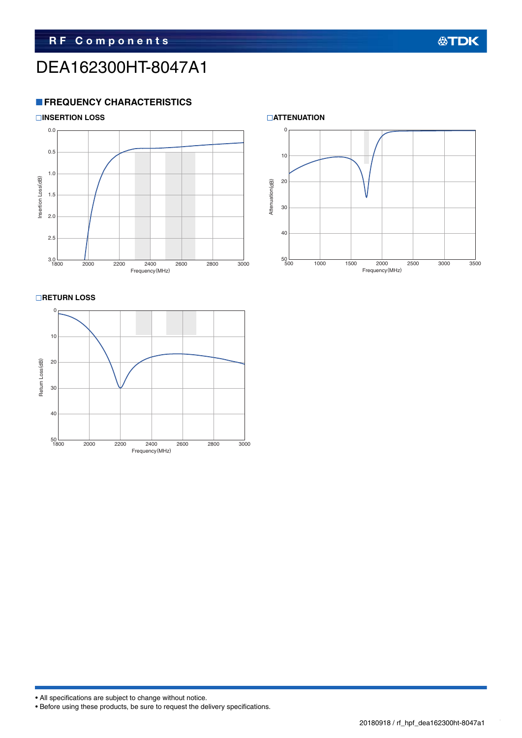## DEA162300HT-8047A1

#### **FREQUENCY CHARACTERISTICS**





**RETURN LOSS** 





## **公TDK**

• All specifications are subject to change without notice.

• Before using these products, be sure to request the delivery specifications.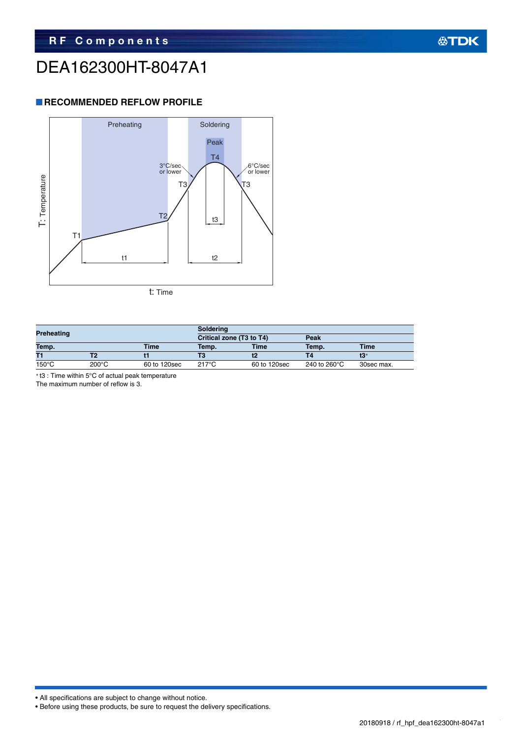## DEA162300HT-8047A1

#### **RECOMMENDED REFLOW PROFILE**



| Preheating      |                 | Soldering                |       |              |                        |             |
|-----------------|-----------------|--------------------------|-------|--------------|------------------------|-------------|
|                 |                 | Critical zone (T3 to T4) |       | Peak         |                        |             |
| Temp.           |                 | <b>Time</b>              | Temp. | <b>Time</b>  | Temp.                  | <b>Time</b> |
| T1              |                 |                          |       |              | Τ4                     | t3*         |
| $150^{\circ}$ C | $200^{\circ}$ C | 60 to 120sec             | 217°C | 60 to 120sec | 240 to 260 $\degree$ C | 30sec max.  |

t3 : Time within 5°C of actual peak temperature

The maximum number of reflow is 3.

• All specifications are subject to change without notice.

```
• Before using these products, be sure to request the delivery specifications.
```